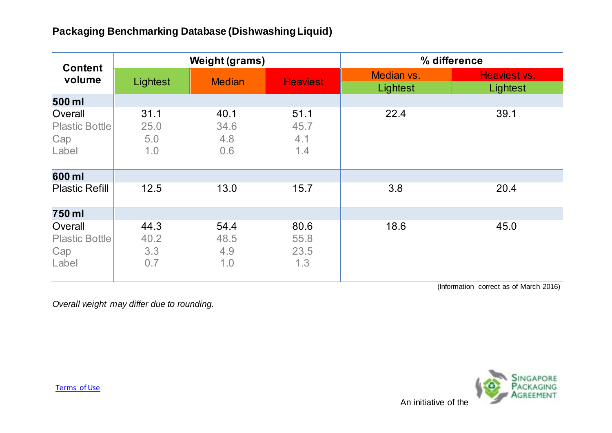## **Packaging Benchmarking Database (Dishwashing Liquid)**

| <b>Content</b><br>volume                         | <b>Weight (grams)</b>      |                            |                             | % difference           |                          |
|--------------------------------------------------|----------------------------|----------------------------|-----------------------------|------------------------|--------------------------|
|                                                  | Lightest                   | <b>Median</b>              | <b>Heaviest</b>             | Median vs.<br>Lightest | Heaviest vs.<br>Lightest |
| 500 ml                                           |                            |                            |                             |                        |                          |
| Overall<br><b>Plastic Bottle</b><br>Cap<br>Label | 31.1<br>25.0<br>5.0<br>1.0 | 40.1<br>34.6<br>4.8<br>0.6 | 51.1<br>45.7<br>4.1<br>1.4  | 22.4                   | 39.1                     |
| 600 ml                                           |                            |                            |                             |                        |                          |
| <b>Plastic Refill</b>                            | 12.5                       | 13.0                       | 15.7                        | 3.8                    | 20.4                     |
| 750 ml                                           |                            |                            |                             |                        |                          |
| Overall<br><b>Plastic Bottle</b><br>Cap<br>Label | 44.3<br>40.2<br>3.3<br>0.7 | 54.4<br>48.5<br>4.9<br>1.0 | 80.6<br>55.8<br>23.5<br>1.3 | 18.6                   | 45.0                     |

(Information correct as of March 2016)

*Overall weight may differ due to rounding.*



[Terms of Use](http://www.nea.gov.sg/terms-of-use/)